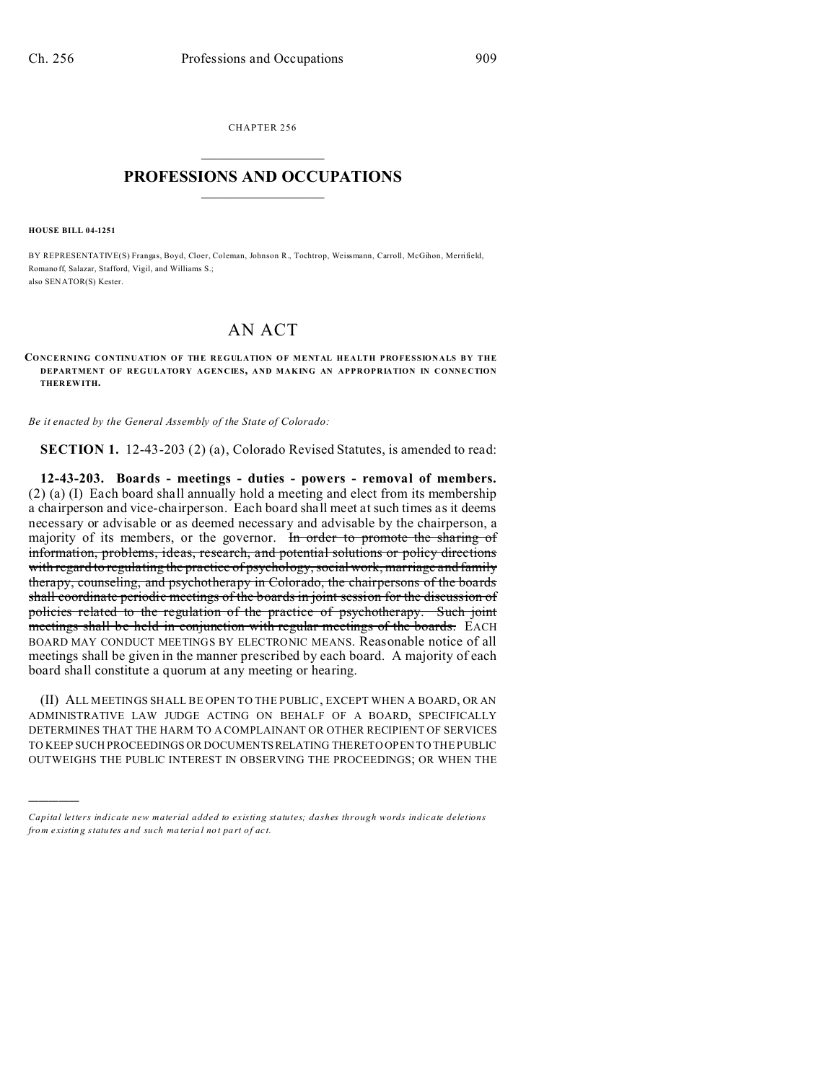CHAPTER 256  $\overline{\phantom{a}}$  , where  $\overline{\phantom{a}}$ 

## **PROFESSIONS AND OCCUPATIONS**  $\frac{1}{2}$  ,  $\frac{1}{2}$  ,  $\frac{1}{2}$  ,  $\frac{1}{2}$  ,  $\frac{1}{2}$  ,  $\frac{1}{2}$

**HOUSE BILL 04-1251**

)))))

BY REPRESENTATIVE(S) Frangas, Boyd, Cloer, Coleman, Johnson R., Tochtrop, Weissmann, Carroll, McGihon, Merrifield, Romano ff, Salazar, Stafford, Vigil, and Williams S.; also SENATOR(S) Kester.

## AN ACT

## **CONCERNING CONTINUATION OF THE REGULATION OF MENTAL HEALTH PROFESSIONALS BY THE DEPARTMENT OF REGULATORY AGENCIES, AND MAKING AN APPROPRIATION IN CONNECTION THER EWITH.**

*Be it enacted by the General Assembly of the State of Colorado:*

**SECTION 1.** 12-43-203 (2) (a), Colorado Revised Statutes, is amended to read:

**12-43-203. Boards - meetings - duties - powers - removal of members.** (2) (a) (I) Each board shall annually hold a meeting and elect from its membership a chairperson and vice-chairperson. Each board shall meet at such times as it deems necessary or advisable or as deemed necessary and advisable by the chairperson, a majority of its members, or the governor. In order to promote the sharing of information, problems, ideas, research, and potential solutions or policy directions with regard to regulating the practice of psychology, social work, marriage and family therapy, counseling, and psychotherapy in Colorado, the chairpersons of the boards shall coordinate periodic meetings of the boards in joint session for the discussion of policies related to the regulation of the practice of psychotherapy. Such joint meetings shall be held in conjunction with regular meetings of the boards. EACH BOARD MAY CONDUCT MEETINGS BY ELECTRONIC MEANS. Reasonable notice of all meetings shall be given in the manner prescribed by each board. A majority of each board shall constitute a quorum at any meeting or hearing.

(II) ALL MEETINGS SHALL BE OPEN TO THE PUBLIC, EXCEPT WHEN A BOARD, OR AN ADMINISTRATIVE LAW JUDGE ACTING ON BEHALF OF A BOARD, SPECIFICALLY DETERMINES THAT THE HARM TO A COMPLAINANT OR OTHER RECIPIENT OF SERVICES TO KEEP SUCH PROCEEDINGS OR DOCUMENTSRELATING THERETO OPEN TO THE PUBLIC OUTWEIGHS THE PUBLIC INTEREST IN OBSERVING THE PROCEEDINGS; OR WHEN THE

*Capital letters indicate new material added to existing statutes; dashes through words indicate deletions from e xistin g statu tes a nd such ma teria l no t pa rt of ac t.*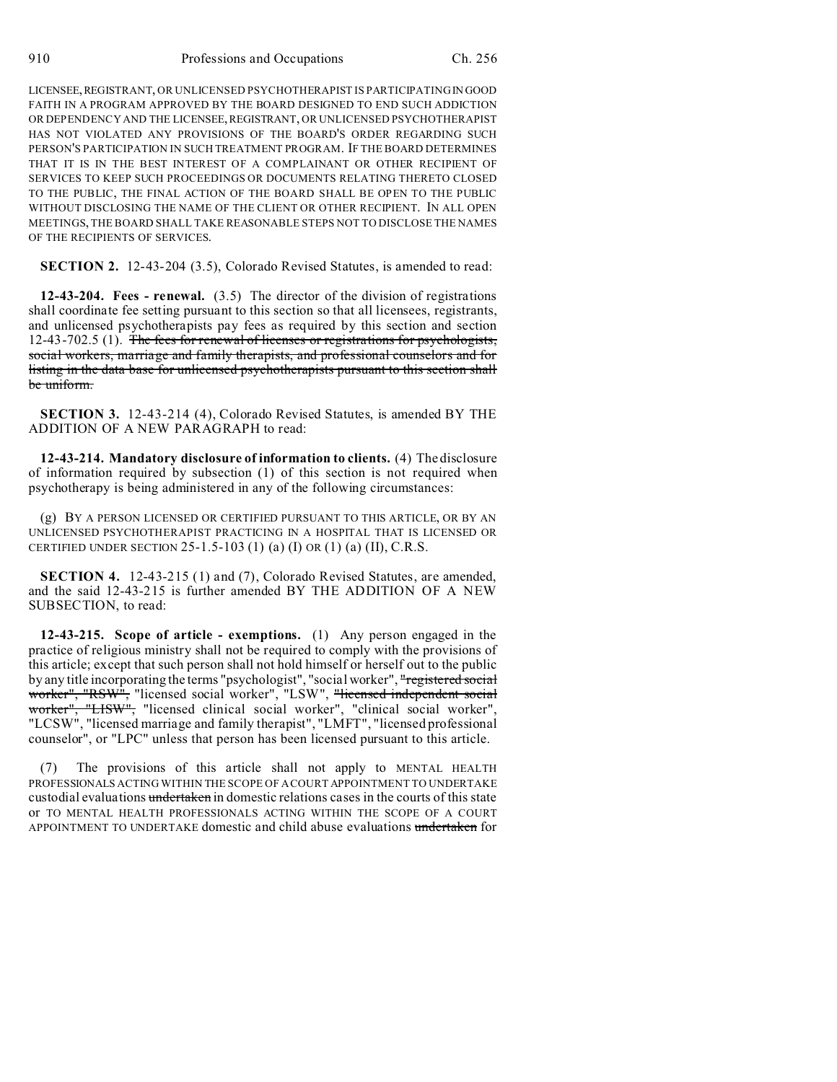LICENSEE,REGISTRANT, OR UNLICENSED PSYCHOTHERAPIST IS PARTICIPATING IN GOOD FAITH IN A PROGRAM APPROVED BY THE BOARD DESIGNED TO END SUCH ADDICTION OR DEPENDENCY AND THE LICENSEE,REGISTRANT, OR UNLICENSED PSYCHOTHERAPIST HAS NOT VIOLATED ANY PROVISIONS OF THE BOARD'S ORDER REGARDING SUCH PERSON'S PARTICIPATION IN SUCH TREATMENT PROGRAM. IF THE BOARD DETERMINES THAT IT IS IN THE BEST INTEREST OF A COMPLAINANT OR OTHER RECIPIENT OF SERVICES TO KEEP SUCH PROCEEDINGS OR DOCUMENTS RELATING THERETO CLOSED TO THE PUBLIC, THE FINAL ACTION OF THE BOARD SHALL BE OPEN TO THE PUBLIC WITHOUT DISCLOSING THE NAME OF THE CLIENT OR OTHER RECIPIENT. IN ALL OPEN MEETINGS, THE BOARD SHALL TAKE REASONABLE STEPS NOT TO DISCLOSE THE NAMES OF THE RECIPIENTS OF SERVICES.

**SECTION 2.** 12-43-204 (3.5), Colorado Revised Statutes, is amended to read:

**12-43-204. Fees - renewal.** (3.5) The director of the division of registrations shall coordinate fee setting pursuant to this section so that all licensees, registrants, and unlicensed psychotherapists pay fees as required by this section and section 12-43-702.5 (1). The fees for renewal of licenses or registrations for psychologists, social workers, marriage and family therapists, and professional counselors and for listing in the data base for unlicensed psychotherapists pursuant to this section shall be uniform.

**SECTION 3.** 12-43-214 (4), Colorado Revised Statutes, is amended BY THE ADDITION OF A NEW PARAGRAPH to read:

**12-43-214. Mandatory disclosure of information to clients.** (4) The disclosure of information required by subsection (1) of this section is not required when psychotherapy is being administered in any of the following circumstances:

(g) BY A PERSON LICENSED OR CERTIFIED PURSUANT TO THIS ARTICLE, OR BY AN UNLICENSED PSYCHOTHERAPIST PRACTICING IN A HOSPITAL THAT IS LICENSED OR CERTIFIED UNDER SECTION 25-1.5-103 (1) (a) (I) OR (1) (a) (II), C.R.S.

**SECTION 4.** 12-43-215 (1) and (7), Colorado Revised Statutes, are amended, and the said 12-43-215 is further amended BY THE ADDITION OF A NEW SUBSECTION, to read:

**12-43-215. Scope of article - exemptions.** (1) Any person engaged in the practice of religious ministry shall not be required to comply with the provisions of this article; except that such person shall not hold himself or herself out to the public by any title incorporating the terms "psychologist", "social worker", "registered social worker", "RSW", "licensed social worker", "LSW", "licensed independent social worker", "LISW", "licensed clinical social worker", "clinical social worker", "LCSW", "licensed marriage and family therapist", "LMFT", "licensed professional counselor", or "LPC" unless that person has been licensed pursuant to this article.

(7) The provisions of this article shall not apply to MENTAL HEALTH PROFESSIONALS ACTING WITHIN THE SCOPE OF A COURT APPOINTMENT TO UNDERTAKE custodial evaluations undertaken in domestic relations cases in the courts of this state or TO MENTAL HEALTH PROFESSIONALS ACTING WITHIN THE SCOPE OF A COURT APPOINTMENT TO UNDERTAKE domestic and child abuse evaluations undertaken for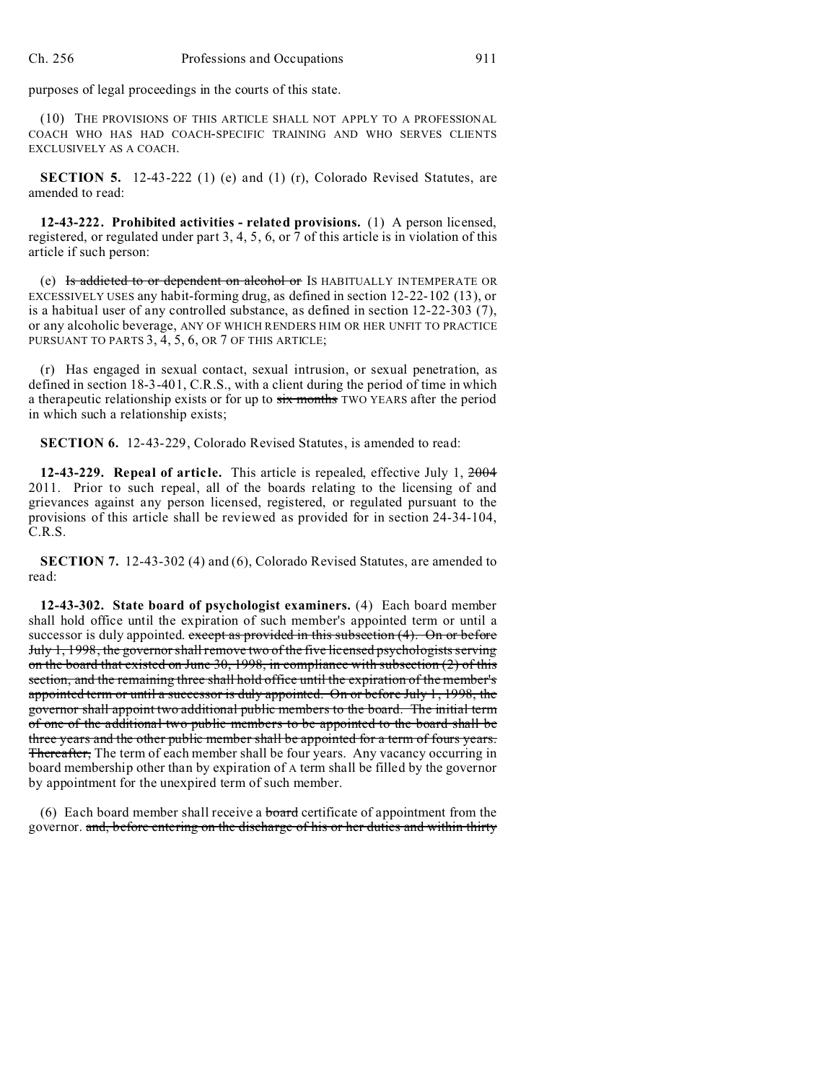purposes of legal proceedings in the courts of this state.

(10) THE PROVISIONS OF THIS ARTICLE SHALL NOT APPLY TO A PROFESSIONAL COACH WHO HAS HAD COACH-SPECIFIC TRAINING AND WHO SERVES CLIENTS EXCLUSIVELY AS A COACH.

**SECTION 5.** 12-43-222 (1) (e) and (1) (r), Colorado Revised Statutes, are amended to read:

**12-43-222. Prohibited activities - related provisions.** (1) A person licensed, registered, or regulated under part 3, 4, 5, 6, or 7 of this article is in violation of this article if such person:

(e) Is addicted to or dependent on alcohol or IS HABITUALLY INTEMPERATE OR EXCESSIVELY USES any habit-forming drug, as defined in section 12-22-102 (13), or is a habitual user of any controlled substance, as defined in section 12-22-303 (7), or any alcoholic beverage, ANY OF WHICH RENDERS HIM OR HER UNFIT TO PRACTICE PURSUANT TO PARTS 3, 4, 5, 6, OR 7 OF THIS ARTICLE;

(r) Has engaged in sexual contact, sexual intrusion, or sexual penetration, as defined in section 18-3-401, C.R.S., with a client during the period of time in which a therapeutic relationship exists or for up to six months TWO YEARS after the period in which such a relationship exists;

**SECTION 6.** 12-43-229, Colorado Revised Statutes, is amended to read:

**12-43-229. Repeal of article.** This article is repealed, effective July 1, 2004 2011. Prior to such repeal, all of the boards relating to the licensing of and grievances against any person licensed, registered, or regulated pursuant to the provisions of this article shall be reviewed as provided for in section 24-34-104, C.R.S.

**SECTION 7.** 12-43-302 (4) and (6), Colorado Revised Statutes, are amended to read:

**12-43-302. State board of psychologist examiners.** (4) Each board member shall hold office until the expiration of such member's appointed term or until a successor is duly appointed. except as provided in this subsection (4). On or before July 1, 1998, the governor shall remove two of the five licensed psychologists serving on the board that existed on June 30, 1998, in compliance with subsection (2) of this section, and the remaining three shall hold office until the expiration of the member's appointed term or until a successor is duly appointed. On or before July 1, 1998, the governor shall appoint two additional public members to the board. The initial term of one of the additional two public members to be appointed to the board shall be three years and the other public member shall be appointed for a term of fours years. **Thereafter,** The term of each member shall be four years. Any vacancy occurring in board membership other than by expiration of A term shall be filled by the governor by appointment for the unexpired term of such member.

(6) Each board member shall receive a **board** certificate of appointment from the governor. and, before entering on the discharge of his or her duties and within thirty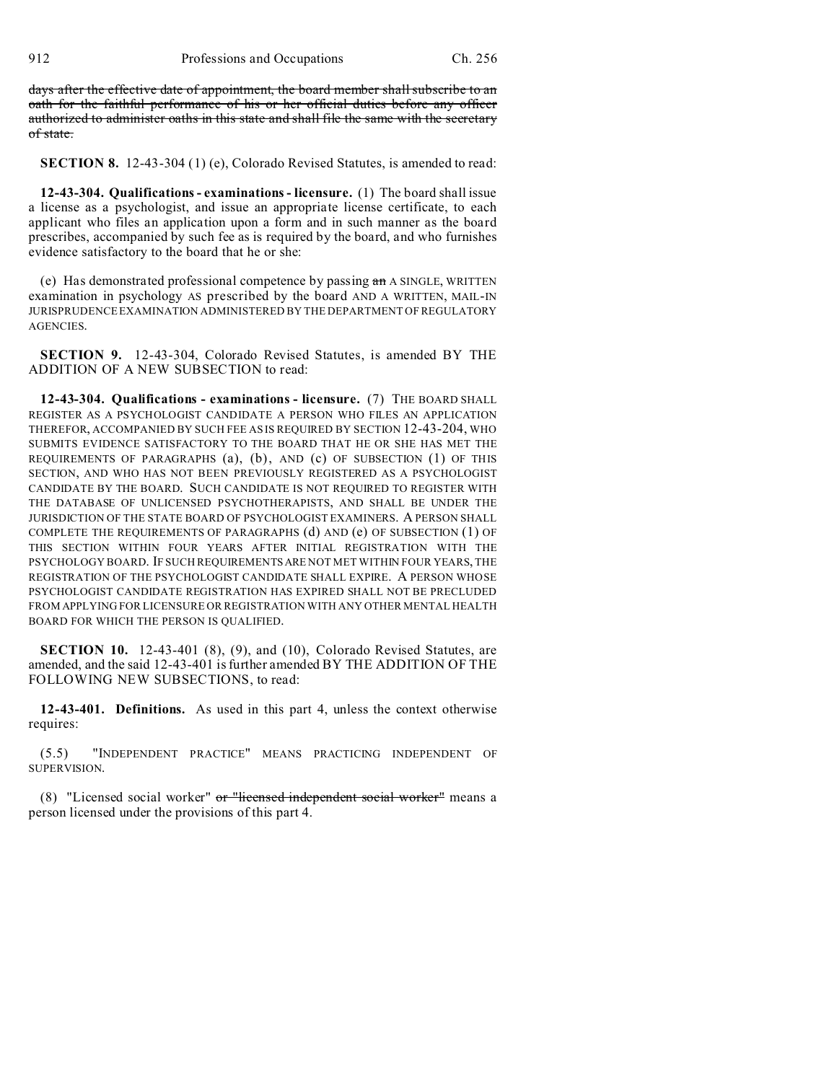days after the effective date of appointment, the board member shall subscribe to an oath for the faithful performance of his or her official duties before any officer authorized to administer oaths in this state and shall file the same with the secretary of state.

**SECTION 8.** 12-43-304 (1) (e), Colorado Revised Statutes, is amended to read:

**12-43-304. Qualifications - examinations - licensure.** (1) The board shall issue a license as a psychologist, and issue an appropriate license certificate, to each applicant who files an application upon a form and in such manner as the board prescribes, accompanied by such fee as is required by the board, and who furnishes evidence satisfactory to the board that he or she:

(e) Has demonstrated professional competence by passing  $a\pi$  A SINGLE, WRITTEN examination in psychology AS prescribed by the board AND A WRITTEN, MAIL-IN JURISPRUDENCE EXAMINATION ADMINISTERED BY THE DEPARTMENT OF REGULATORY AGENCIES.

**SECTION 9.** 12-43-304, Colorado Revised Statutes, is amended BY THE ADDITION OF A NEW SUBSECTION to read:

**12-43-304. Qualifications - examinations - licensure.** (7) THE BOARD SHALL REGISTER AS A PSYCHOLOGIST CANDIDATE A PERSON WHO FILES AN APPLICATION THEREFOR, ACCOMPANIED BY SUCH FEE AS IS REQUIRED BY SECTION 12-43-204, WHO SUBMITS EVIDENCE SATISFACTORY TO THE BOARD THAT HE OR SHE HAS MET THE REQUIREMENTS OF PARAGRAPHS (a), (b), AND (c) OF SUBSECTION (1) OF THIS SECTION, AND WHO HAS NOT BEEN PREVIOUSLY REGISTERED AS A PSYCHOLOGIST CANDIDATE BY THE BOARD. SUCH CANDIDATE IS NOT REQUIRED TO REGISTER WITH THE DATABASE OF UNLICENSED PSYCHOTHERAPISTS, AND SHALL BE UNDER THE JURISDICTION OF THE STATE BOARD OF PSYCHOLOGIST EXAMINERS. A PERSON SHALL COMPLETE THE REQUIREMENTS OF PARAGRAPHS (d) AND (e) OF SUBSECTION (1) OF THIS SECTION WITHIN FOUR YEARS AFTER INITIAL REGISTRATION WITH THE PSYCHOLOGY BOARD. IF SUCH REQUIREMENTSARE NOT MET WITHIN FOUR YEARS, THE REGISTRATION OF THE PSYCHOLOGIST CANDIDATE SHALL EXPIRE. A PERSON WHOSE PSYCHOLOGIST CANDIDATE REGISTRATION HAS EXPIRED SHALL NOT BE PRECLUDED FROM APPLYING FOR LICENSURE OR REGISTRATION WITH ANY OTHER MENTAL HEALTH BOARD FOR WHICH THE PERSON IS QUALIFIED.

**SECTION 10.** 12-43-401 (8), (9), and (10), Colorado Revised Statutes, are amended, and the said 12-43-401 is further amended BY THE ADDITION OF THE FOLLOWING NEW SUBSECTIONS, to read:

**12-43-401. Definitions.** As used in this part 4, unless the context otherwise requires:

(5.5) "INDEPENDENT PRACTICE" MEANS PRACTICING INDEPENDENT OF SUPERVISION.

(8) "Licensed social worker" or "licensed independent social worker" means a person licensed under the provisions of this part 4.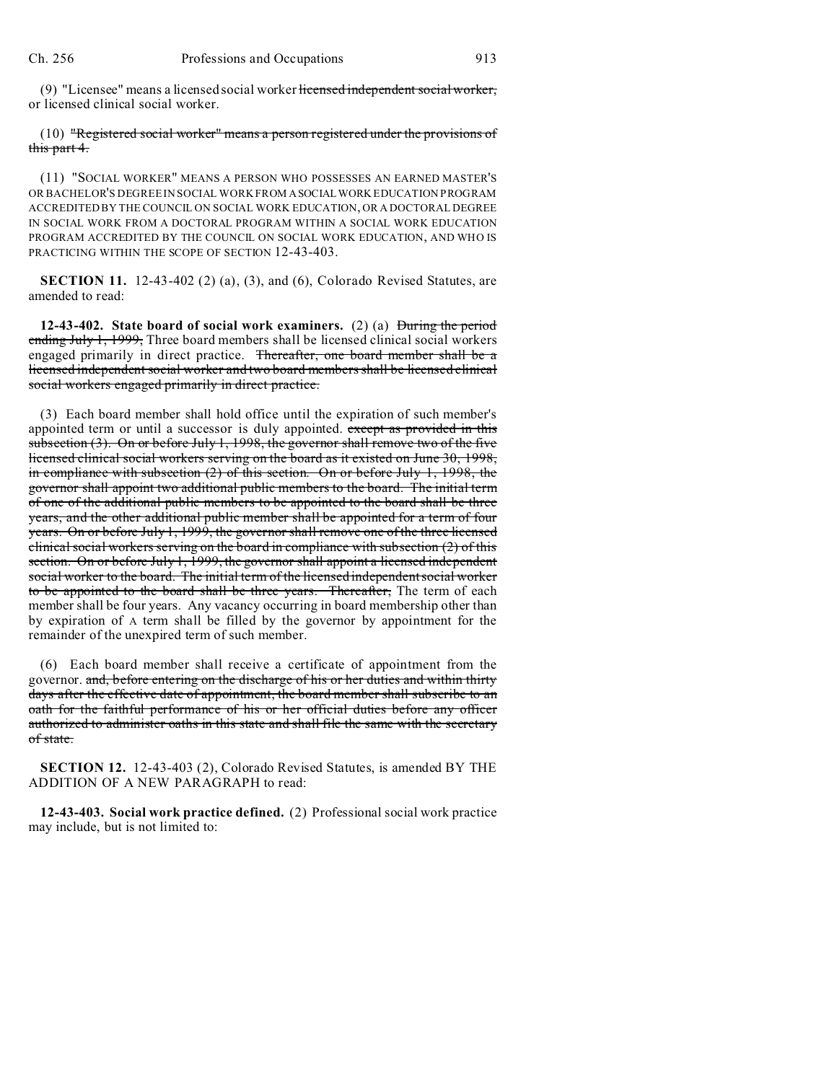(9) "Licensee" means a licensed social worker licensed independent social worker, or licensed clinical social worker.

## (10) "Registered social worker" means a person registered under the provisions of this part 4.

(11) "SOCIAL WORKER" MEANS A PERSON WHO POSSESSES AN EARNED MASTER'S OR BACHELOR'S DEGREE IN SOCIAL WORK FROM ASOCIALWORK EDUCATION PROGRAM ACCREDITED BY THE COUNCIL ON SOCIAL WORK EDUCATION, OR A DOCTORAL DEGREE IN SOCIAL WORK FROM A DOCTORAL PROGRAM WITHIN A SOCIAL WORK EDUCATION PROGRAM ACCREDITED BY THE COUNCIL ON SOCIAL WORK EDUCATION, AND WHO IS PRACTICING WITHIN THE SCOPE OF SECTION 12-43-403.

**SECTION 11.** 12-43-402 (2) (a), (3), and (6), Colorado Revised Statutes, are amended to read:

**12-43-402. State board of social work examiners.** (2) (a) During the period ending July 1, 1999, Three board members shall be licensed clinical social workers engaged primarily in direct practice. Thereafter, one board member shall be a licensed independent social worker and two board members shall be licensed clinical social workers engaged primarily in direct practice.

(3) Each board member shall hold office until the expiration of such member's appointed term or until a successor is duly appointed. except as provided in this subsection  $(3)$ . On or before July 1, 1998, the governor shall remove two of the five licensed clinical social workers serving on the board as it existed on June 30, 1998, in compliance with subsection (2) of this section. On or before July 1, 1998, the governor shall appoint two additional public members to the board. The initial term of one of the additional public members to be appointed to the board shall be three years, and the other additional public member shall be appointed for a term of four years. On or before July 1, 1999, the governor shall remove one of the three licensed clinical social workers serving on the board in compliance with subsection (2) of this section. On or before July 1, 1999, the governor shall appoint a licensed independent social worker to the board. The initial term of the licensed independent social worker to be appointed to the board shall be three years. Thereafter, The term of each member shall be four years. Any vacancy occurring in board membership other than by expiration of A term shall be filled by the governor by appointment for the remainder of the unexpired term of such member.

(6) Each board member shall receive a certificate of appointment from the governor. and, before entering on the discharge of his or her duties and within thirty days after the effective date of appointment, the board member shall subscribe to an oath for the faithful performance of his or her official duties before any officer authorized to administer oaths in this state and shall file the same with the secretary of state.

**SECTION 12.** 12-43-403 (2), Colorado Revised Statutes, is amended BY THE ADDITION OF A NEW PARAGRAPH to read:

**12-43-403. Social work practice defined.** (2) Professional social work practice may include, but is not limited to: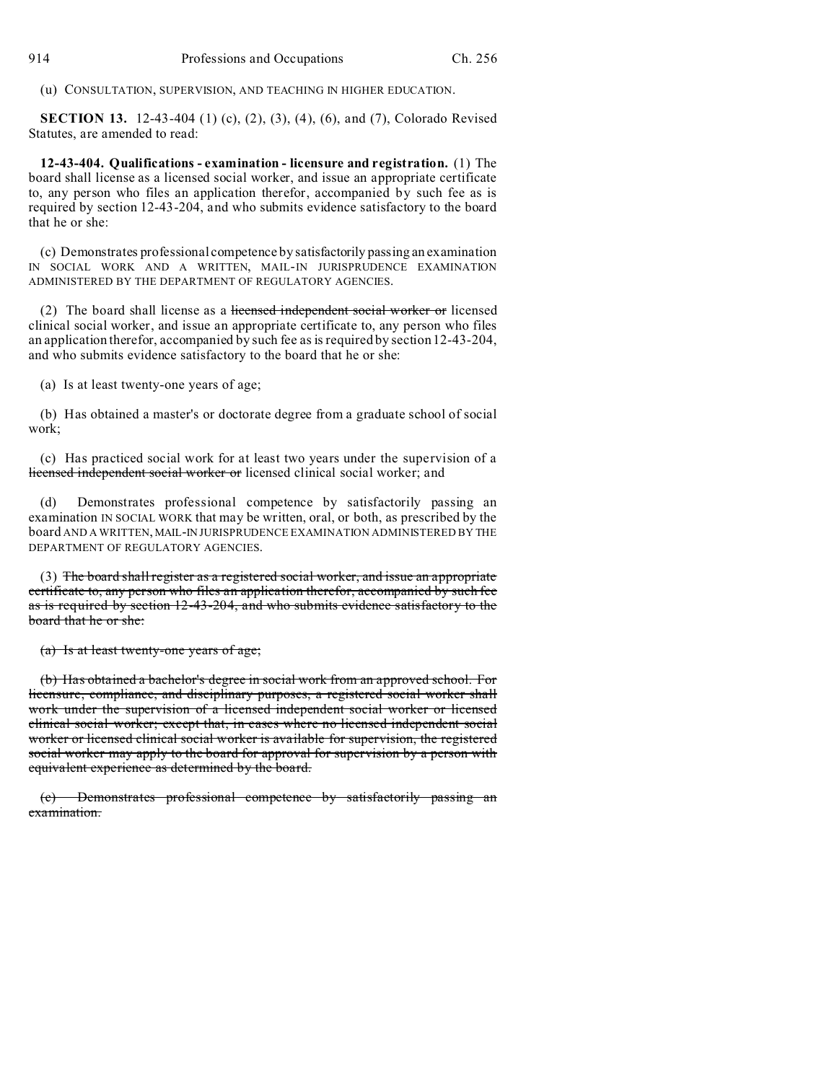(u) CONSULTATION, SUPERVISION, AND TEACHING IN HIGHER EDUCATION.

**SECTION 13.** 12-43-404 (1) (c), (2), (3), (4), (6), and (7), Colorado Revised Statutes, are amended to read:

**12-43-404. Qualifications - examination - licensure and registration.** (1) The board shall license as a licensed social worker, and issue an appropriate certificate to, any person who files an application therefor, accompanied by such fee as is required by section 12-43-204, and who submits evidence satisfactory to the board that he or she:

(c) Demonstrates professional competence by satisfactorily passing an examination IN SOCIAL WORK AND A WRITTEN, MAIL-IN JURISPRUDENCE EXAMINATION ADMINISTERED BY THE DEPARTMENT OF REGULATORY AGENCIES.

(2) The board shall license as a licensed independent social worker or licensed clinical social worker, and issue an appropriate certificate to, any person who files an application therefor, accompanied by such fee as is required by section 12-43-204, and who submits evidence satisfactory to the board that he or she:

(a) Is at least twenty-one years of age;

(b) Has obtained a master's or doctorate degree from a graduate school of social work;

(c) Has practiced social work for at least two years under the supervision of a licensed independent social worker or licensed clinical social worker; and

(d) Demonstrates professional competence by satisfactorily passing an examination IN SOCIAL WORK that may be written, oral, or both, as prescribed by the board AND A WRITTEN, MAIL-IN JURISPRUDENCE EXAMINATION ADMINISTERED BY THE DEPARTMENT OF REGULATORY AGENCIES.

(3) The board shall register as a registered social worker, and issue an appropriate certificate to, any person who files an application therefor, accompanied by such fee as is required by section 12-43-204, and who submits evidence satisfactory to the board that he or she:

(a) Is at least twenty-one years of age;

(b) Has obtained a bachelor's degree in social work from an approved school. For licensure, compliance, and disciplinary purposes, a registered social worker shall work under the supervision of a licensed independent social worker or licensed clinical social worker; except that, in cases where no licensed independent social worker or licensed clinical social worker is available for supervision, the registered social worker may apply to the board for approval for supervision by a person with equivalent experience as determined by the board.

(c) Demonstrates professional competence by satisfactorily passing an examination.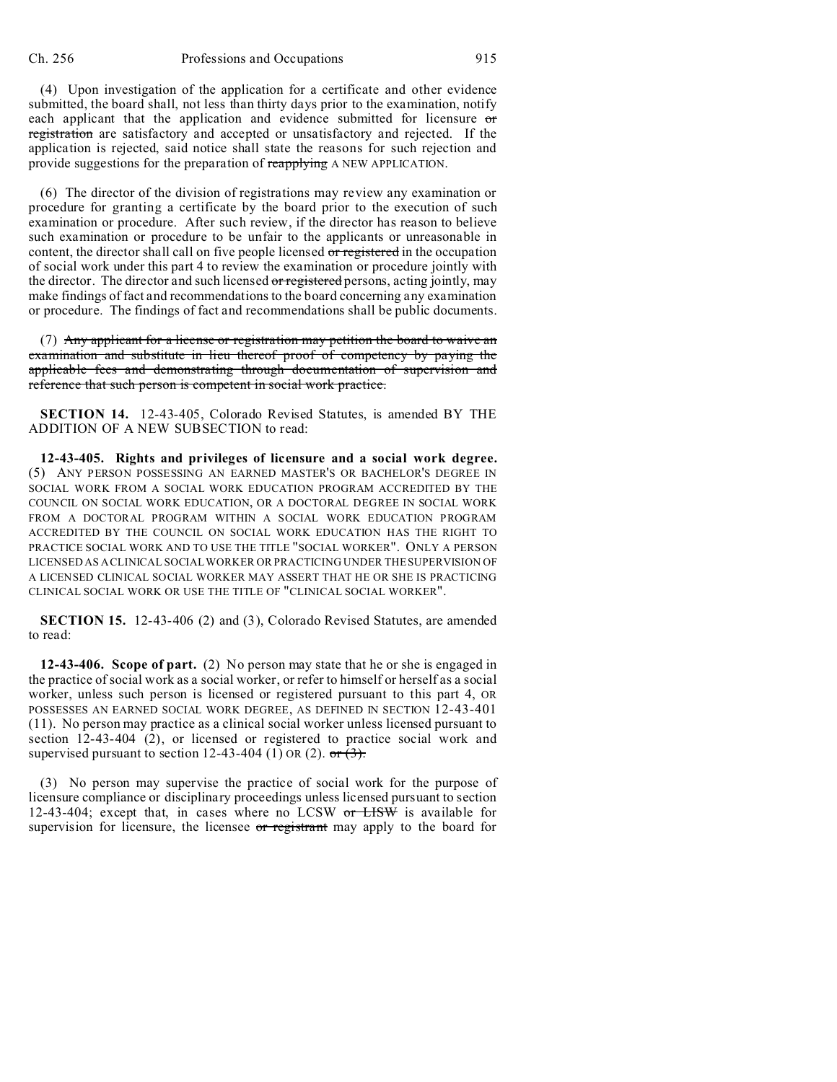(4) Upon investigation of the application for a certificate and other evidence submitted, the board shall, not less than thirty days prior to the examination, notify each applicant that the application and evidence submitted for licensure  $\sigma$ registration are satisfactory and accepted or unsatisfactory and rejected. If the application is rejected, said notice shall state the reasons for such rejection and provide suggestions for the preparation of reapplying A NEW APPLICATION.

(6) The director of the division of registrations may review any examination or procedure for granting a certificate by the board prior to the execution of such examination or procedure. After such review, if the director has reason to believe such examination or procedure to be unfair to the applicants or unreasonable in content, the director shall call on five people licensed or registered in the occupation of social work under this part 4 to review the examination or procedure jointly with the director. The director and such licensed or registered persons, acting jointly, may make findings of fact and recommendations to the board concerning any examination or procedure. The findings of fact and recommendations shall be public documents.

(7) Any applicant for a license or registration may petition the board to waive an examination and substitute in lieu thereof proof of competency by paying the applicable fees and demonstrating through documentation of supervision and reference that such person is competent in social work practice.

**SECTION 14.** 12-43-405, Colorado Revised Statutes, is amended BY THE ADDITION OF A NEW SUBSECTION to read:

**12-43-405. Rights and privileges of licensure and a social work degree.** (5) ANY PERSON POSSESSING AN EARNED MASTER'S OR BACHELOR'S DEGREE IN SOCIAL WORK FROM A SOCIAL WORK EDUCATION PROGRAM ACCREDITED BY THE COUNCIL ON SOCIAL WORK EDUCATION, OR A DOCTORAL DEGREE IN SOCIAL WORK FROM A DOCTORAL PROGRAM WITHIN A SOCIAL WORK EDUCATION PROGRAM ACCREDITED BY THE COUNCIL ON SOCIAL WORK EDUCATION HAS THE RIGHT TO PRACTICE SOCIAL WORK AND TO USE THE TITLE "SOCIAL WORKER". ONLY A PERSON LICENSED AS A CLINICAL SOCIAL WORKER OR PRACTICING UNDER THE SUPERVISION OF A LICENSED CLINICAL SOCIAL WORKER MAY ASSERT THAT HE OR SHE IS PRACTICING CLINICAL SOCIAL WORK OR USE THE TITLE OF "CLINICAL SOCIAL WORKER".

**SECTION 15.** 12-43-406 (2) and (3), Colorado Revised Statutes, are amended to read:

**12-43-406. Scope of part.** (2) No person may state that he or she is engaged in the practice of social work as a social worker, or refer to himself or herself as a social worker, unless such person is licensed or registered pursuant to this part 4, OR POSSESSES AN EARNED SOCIAL WORK DEGREE, AS DEFINED IN SECTION 12-43-401 (11). No person may practice as a clinical social worker unless licensed pursuant to section 12-43-404 (2), or licensed or registered to practice social work and supervised pursuant to section 12-43-404 (1) OR (2).  $\sigma$  (3).

(3) No person may supervise the practice of social work for the purpose of licensure compliance or disciplinary proceedings unless licensed pursuant to section 12-43-404; except that, in cases where no LCSW  $or$  LISW is available for supervision for licensure, the licensee or registrant may apply to the board for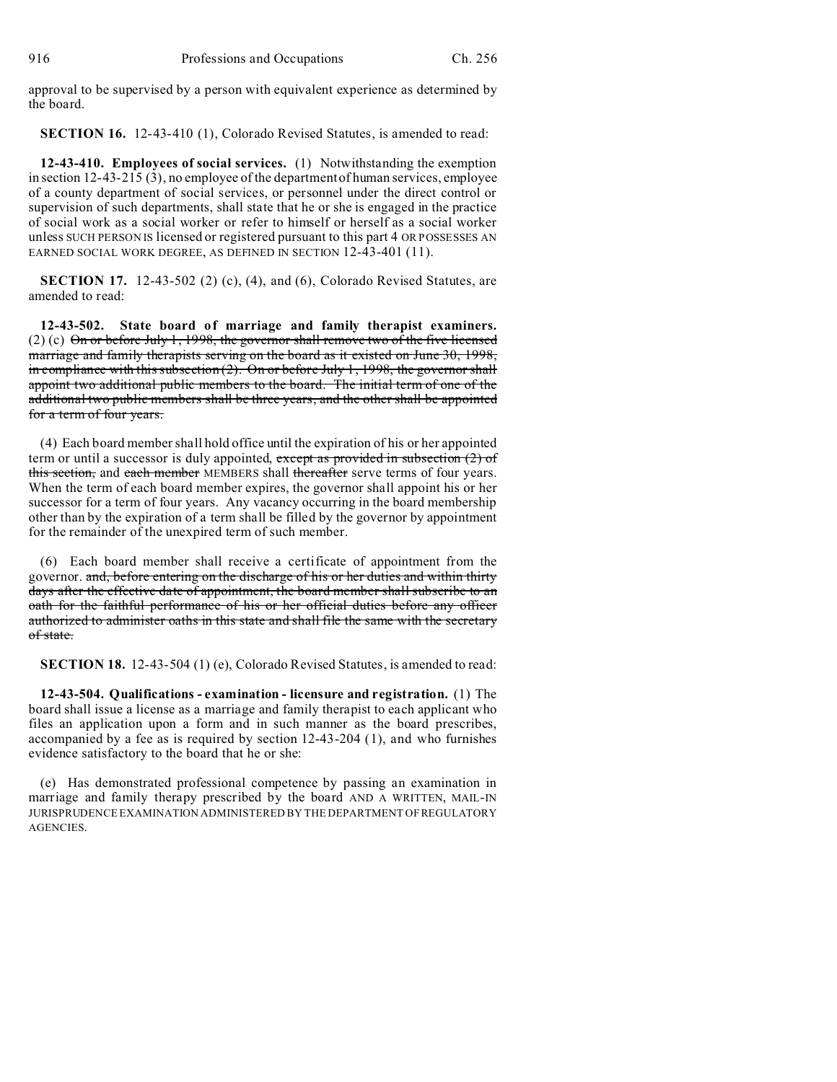approval to be supervised by a person with equivalent experience as determined by the board.

**SECTION 16.** 12-43-410 (1), Colorado Revised Statutes, is amended to read:

**12-43-410. Employees of social services.** (1) Notwithstanding the exemption in section 12-43-215 (3), no employee of the department of human services, employee of a county department of social services, or personnel under the direct control or supervision of such departments, shall state that he or she is engaged in the practice of social work as a social worker or refer to himself or herself as a social worker unless SUCH PERSON IS licensed or registered pursuant to this part 4 OR POSSESSES AN EARNED SOCIAL WORK DEGREE, AS DEFINED IN SECTION 12-43-401 (11).

**SECTION 17.** 12-43-502 (2) (c), (4), and (6), Colorado Revised Statutes, are amended to read:

**12-43-502. State board of marriage and family therapist examiners.** (2) (c)  $\Theta$ n or before July 1, 1998, the governor shall remove two of the five licensed marriage and family therapists serving on the board as it existed on June 30, 1998, in compliance with this subsection (2). On or before July 1, 1998, the governor shall appoint two additional public members to the board. The initial term of one of the additional two public members shall be three years, and the other shall be appointed for a term of four years.

(4) Each board member shall hold office until the expiration of his or her appointed term or until a successor is duly appointed, except as provided in subsection  $(2)$  of this section, and each member MEMBERS shall thereafter serve terms of four years. When the term of each board member expires, the governor shall appoint his or her successor for a term of four years. Any vacancy occurring in the board membership other than by the expiration of a term shall be filled by the governor by appointment for the remainder of the unexpired term of such member.

(6) Each board member shall receive a certificate of appointment from the governor. and, before entering on the discharge of his or her duties and within thirty days after the effective date of appointment, the board member shall subscribe to an oath for the faithful performance of his or her official duties before any officer authorized to administer oaths in this state and shall file the same with the secretary of state.

**SECTION 18.** 12-43-504 (1) (e), Colorado Revised Statutes, is amended to read:

**12-43-504. Qualifications - examination - licensure and registration.** (1) The board shall issue a license as a marriage and family therapist to each applicant who files an application upon a form and in such manner as the board prescribes, accompanied by a fee as is required by section 12-43-204 (1), and who furnishes evidence satisfactory to the board that he or she:

(e) Has demonstrated professional competence by passing an examination in marriage and family therapy prescribed by the board AND A WRITTEN, MAIL-IN JURISPRUDENCE EXAMINATION ADMINISTERED BY THE DEPARTMENT OFREGULATORY AGENCIES.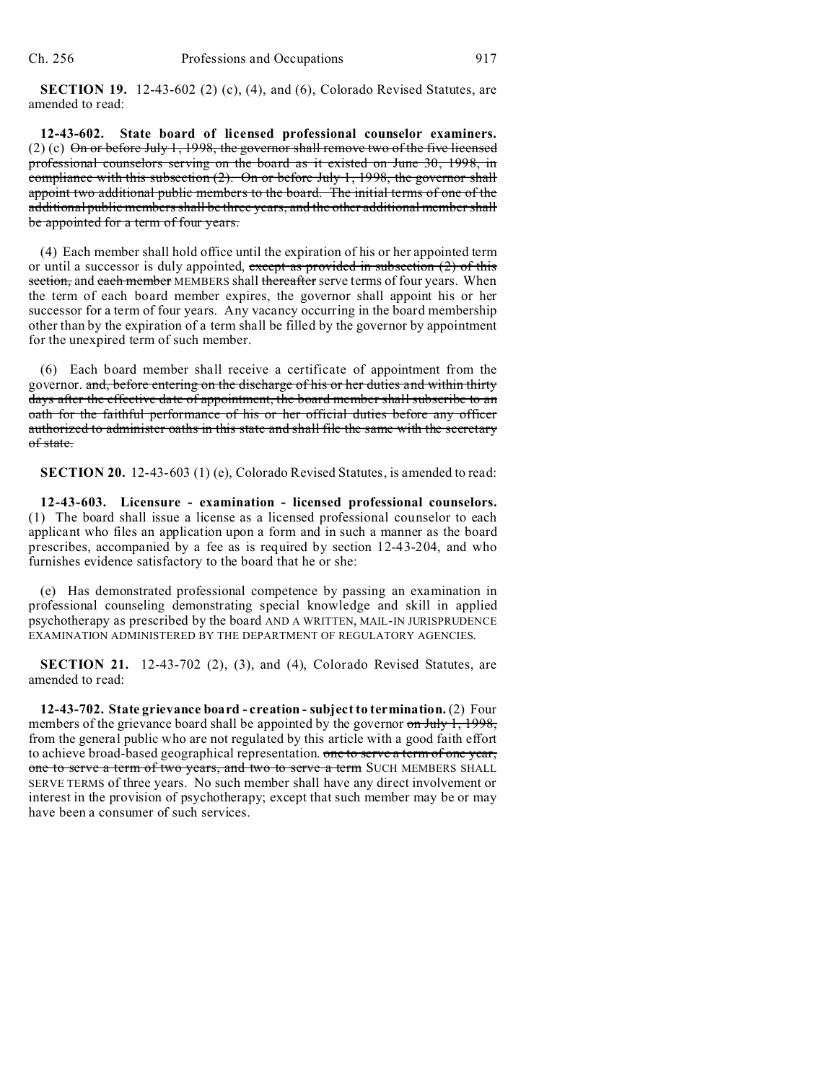**SECTION 19.** 12-43-602 (2) (c), (4), and (6), Colorado Revised Statutes, are amended to read:

**12-43-602. State board of licensed professional counselor examiners.** (2) (c)  $\Theta$ n or before July 1, 1998, the governor shall remove two of the five licensed professional counselors serving on the board as it existed on June 30, 1998, in compliance with this subsection  $(2)$ . On or before July 1, 1998, the governor shall appoint two additional public members to the board. The initial terms of one of the additional public members shall be three years, and the other additional member shall be appointed for a term of four years.

(4) Each member shall hold office until the expiration of his or her appointed term or until a successor is duly appointed, except as provided in subsection  $(2)$  of this section, and each member MEMBERS shall thereafter serve terms of four years. When the term of each board member expires, the governor shall appoint his or her successor for a term of four years. Any vacancy occurring in the board membership other than by the expiration of a term shall be filled by the governor by appointment for the unexpired term of such member.

(6) Each board member shall receive a certificate of appointment from the governor. and, before entering on the discharge of his or her duties and within thirty days after the effective date of appointment, the board member shall subscribe to an oath for the faithful performance of his or her official duties before any officer authorized to administer oaths in this state and shall file the same with the secretary of state.

**SECTION 20.** 12-43-603 (1) (e), Colorado Revised Statutes, is amended to read:

**12-43-603. Licensure - examination - licensed professional counselors.** (1) The board shall issue a license as a licensed professional counselor to each applicant who files an application upon a form and in such a manner as the board prescribes, accompanied by a fee as is required by section 12-43-204, and who furnishes evidence satisfactory to the board that he or she:

(e) Has demonstrated professional competence by passing an examination in professional counseling demonstrating special knowledge and skill in applied psychotherapy as prescribed by the board AND A WRITTEN, MAIL-IN JURISPRUDENCE EXAMINATION ADMINISTERED BY THE DEPARTMENT OF REGULATORY AGENCIES.

**SECTION 21.** 12-43-702 (2), (3), and (4), Colorado Revised Statutes, are amended to read:

**12-43-702. State grievance board - creation - subject to termination.** (2) Four members of the grievance board shall be appointed by the governor on July 1, 1998, from the general public who are not regulated by this article with a good faith effort to achieve broad-based geographical representation. one to serve a term of one year, one to serve a term of two years, and two to serve a term SUCH MEMBERS SHALL SERVE TERMS of three years. No such member shall have any direct involvement or interest in the provision of psychotherapy; except that such member may be or may have been a consumer of such services.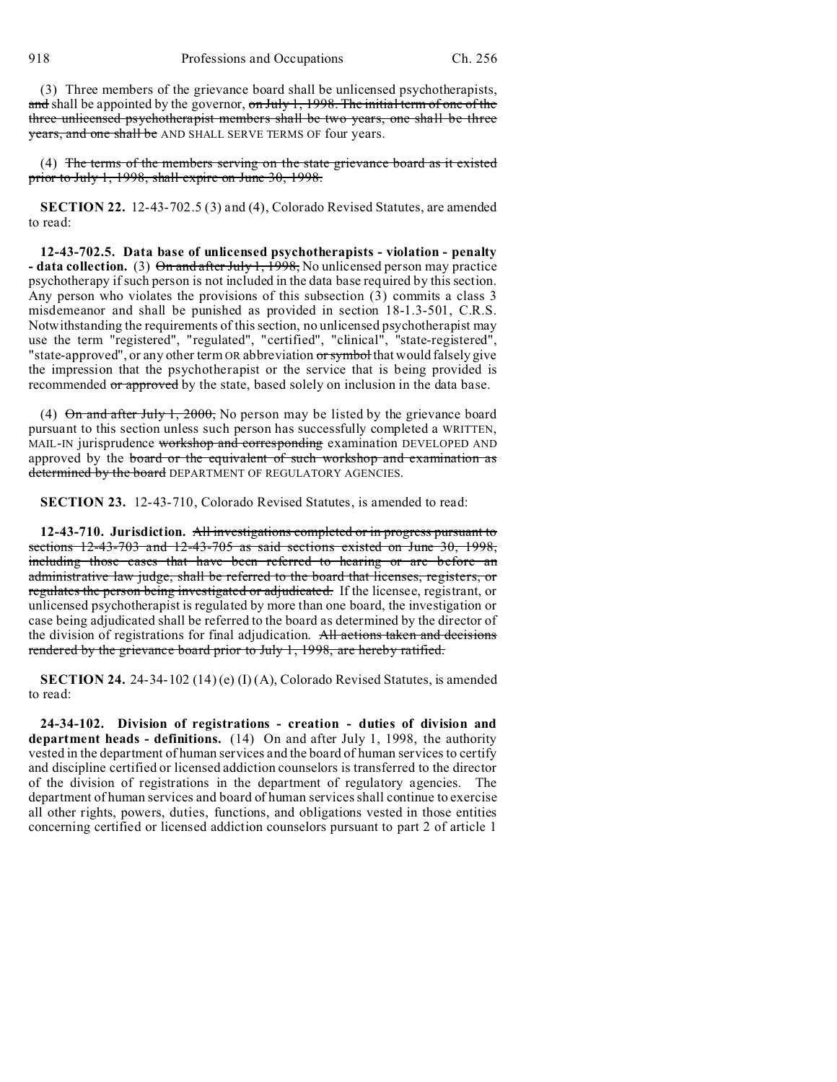918 Professions and Occupations Ch. 256

(3) Three members of the grievance board shall be unlicensed psychotherapists, and shall be appointed by the governor, on July 1, 1998. The initial term of one of the three unlicensed psychotherapist members shall be two years, one shall be three years, and one shall be AND SHALL SERVE TERMS OF four years.

(4) The terms of the members serving on the state grievance board as it existed prior to July 1, 1998, shall expire on June 30, 1998.

**SECTION 22.** 12-43-702.5 (3) and (4), Colorado Revised Statutes, are amended to read:

**12-43-702.5. Data base of unlicensed psychotherapists - violation - penalty - data collection.** (3) On and after July 1, 1998, No unlicensed person may practice psychotherapy if such person is not included in the data base required by this section. Any person who violates the provisions of this subsection (3) commits a class 3 misdemeanor and shall be punished as provided in section 18-1.3-501, C.R.S. Notwithstanding the requirements of this section, no unlicensed psychotherapist may use the term "registered", "regulated", "certified", "clinical", "state-registered", "state-approved", or any other term OR abbreviation or symbol that would falsely give the impression that the psychotherapist or the service that is being provided is recommended or approved by the state, based solely on inclusion in the data base.

(4)  $\Theta$ n and after July 1, 2000, No person may be listed by the grievance board pursuant to this section unless such person has successfully completed a WRITTEN, MAIL-IN jurisprudence workshop and corresponding examination DEVELOPED AND approved by the board or the equivalent of such workshop and examination as determined by the board DEPARTMENT OF REGULATORY AGENCIES.

**SECTION 23.** 12-43-710, Colorado Revised Statutes, is amended to read:

**12-43-710. Jurisdiction.** All investigations completed or in progress pursuant to sections 12-43-703 and 12-43-705 as said sections existed on June 30, 1998, including those cases that have been referred to hearing or are before an administrative law judge, shall be referred to the board that licenses, registers, or regulates the person being investigated or adjudicated. If the licensee, registrant, or unlicensed psychotherapist is regulated by more than one board, the investigation or case being adjudicated shall be referred to the board as determined by the director of the division of registrations for final adjudication. All actions taken and decisions rendered by the grievance board prior to July 1, 1998, are hereby ratified.

**SECTION 24.** 24-34-102 (14) (e) (I) (A), Colorado Revised Statutes, is amended to read:

**24-34-102. Division of registrations - creation - duties of division and department heads - definitions.** (14) On and after July 1, 1998, the authority vested in the department of human services and the board of human services to certify and discipline certified or licensed addiction counselors is transferred to the director of the division of registrations in the department of regulatory agencies. The department of human services and board of human services shall continue to exercise all other rights, powers, duties, functions, and obligations vested in those entities concerning certified or licensed addiction counselors pursuant to part 2 of article 1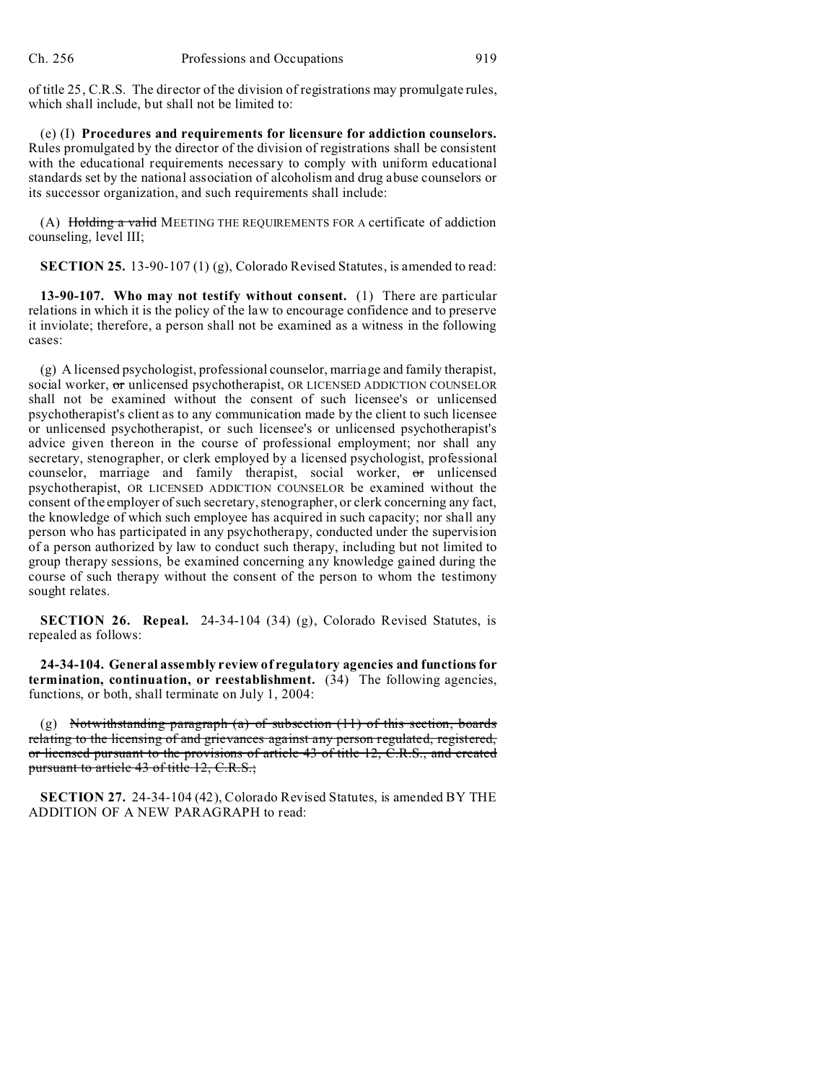of title 25, C.R.S. The director of the division of registrations may promulgate rules, which shall include, but shall not be limited to:

(e) (I) **Procedures and requirements for licensure for addiction counselors.** Rules promulgated by the director of the division of registrations shall be consistent with the educational requirements necessary to comply with uniform educational standards set by the national association of alcoholism and drug abuse counselors or its successor organization, and such requirements shall include:

(A) Holding a valid MEETING THE REQUIREMENTS FOR A certificate of addiction counseling, level III;

**SECTION 25.** 13-90-107 (1) (g), Colorado Revised Statutes, is amended to read:

**13-90-107. Who may not testify without consent.** (1) There are particular relations in which it is the policy of the law to encourage confidence and to preserve it inviolate; therefore, a person shall not be examined as a witness in the following cases:

(g) A licensed psychologist, professional counselor, marriage and family therapist, social worker, or unlicensed psychotherapist, OR LICENSED ADDICTION COUNSELOR shall not be examined without the consent of such licensee's or unlicensed psychotherapist's client as to any communication made by the client to such licensee or unlicensed psychotherapist, or such licensee's or unlicensed psychotherapist's advice given thereon in the course of professional employment; nor shall any secretary, stenographer, or clerk employed by a licensed psychologist, professional counselor, marriage and family therapist, social worker, or unlicensed psychotherapist, OR LICENSED ADDICTION COUNSELOR be examined without the consent of the employer of such secretary, stenographer, or clerk concerning any fact, the knowledge of which such employee has acquired in such capacity; nor shall any person who has participated in any psychotherapy, conducted under the supervision of a person authorized by law to conduct such therapy, including but not limited to group therapy sessions, be examined concerning any knowledge gained during the course of such therapy without the consent of the person to whom the testimony sought relates.

**SECTION 26. Repeal.** 24-34-104 (34) (g), Colorado Revised Statutes, is repealed as follows:

**24-34-104. General assembly review of regulatory agencies and functions for termination, continuation, or reestablishment.** (34) The following agencies, functions, or both, shall terminate on July 1, 2004:

(g) Notwithstanding paragraph (a) of subsection  $(11)$  of this section, boards relating to the licensing of and grievances against any person regulated, registered, or licensed pursuant to the provisions of article 43 of title 12, C.R.S., and created pursuant to article 43 of title 12, C.R.S.;

**SECTION 27.** 24-34-104 (42), Colorado Revised Statutes, is amended BY THE ADDITION OF A NEW PARAGRAPH to read: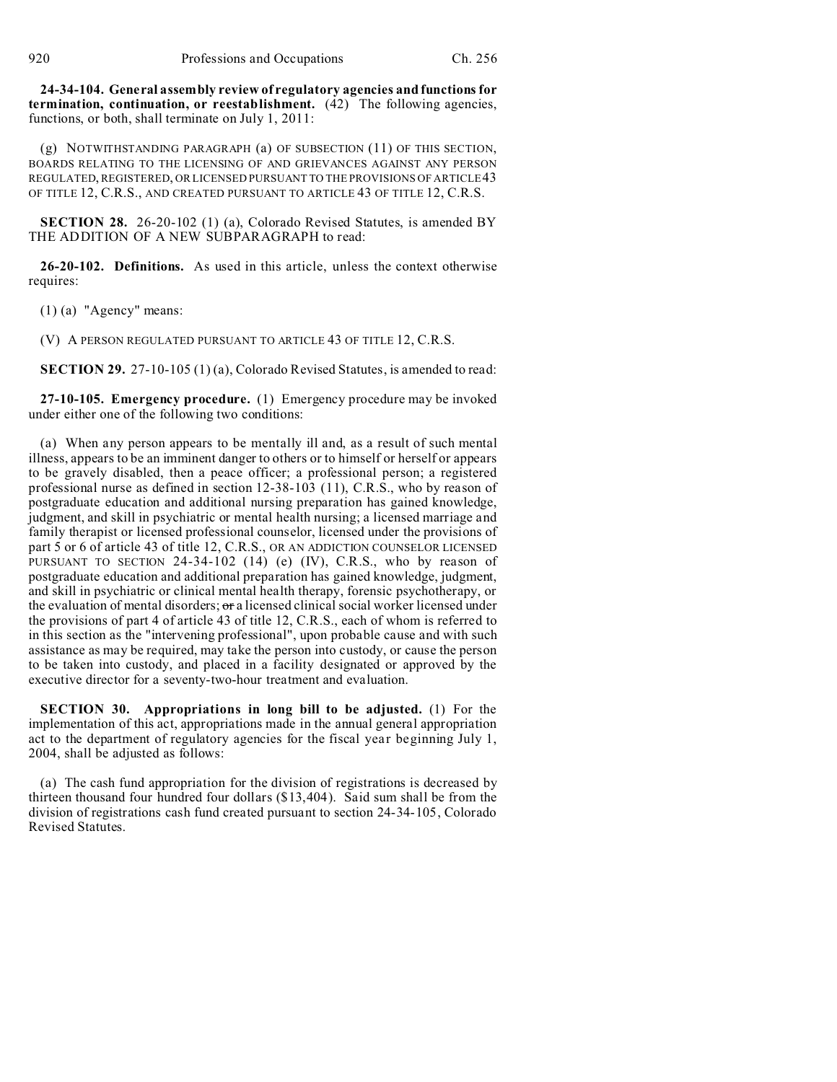**24-34-104. General assembly review of regulatory agencies and functions for termination, continuation, or reestablishment.** (42) The following agencies, functions, or both, shall terminate on July 1, 2011:

(g) NOTWITHSTANDING PARAGRAPH (a) OF SUBSECTION (11) OF THIS SECTION, BOARDS RELATING TO THE LICENSING OF AND GRIEVANCES AGAINST ANY PERSON REGULATED, REGISTERED, OR LICENSED PURSUANT TO THE PROVISIONS OF ARTICLE 43 OF TITLE 12, C.R.S., AND CREATED PURSUANT TO ARTICLE 43 OF TITLE 12, C.R.S.

**SECTION 28.** 26-20-102 (1) (a), Colorado Revised Statutes, is amended BY THE ADDITION OF A NEW SUBPARAGRAPH to read:

**26-20-102. Definitions.** As used in this article, unless the context otherwise requires:

(1) (a) "Agency" means:

(V) A PERSON REGULATED PURSUANT TO ARTICLE 43 OF TITLE 12, C.R.S.

**SECTION 29.** 27-10-105 (1) (a), Colorado Revised Statutes, is amended to read:

**27-10-105. Emergency procedure.** (1) Emergency procedure may be invoked under either one of the following two conditions:

(a) When any person appears to be mentally ill and, as a result of such mental illness, appears to be an imminent danger to others or to himself or herself or appears to be gravely disabled, then a peace officer; a professional person; a registered professional nurse as defined in section 12-38-103 (11), C.R.S., who by reason of postgraduate education and additional nursing preparation has gained knowledge, judgment, and skill in psychiatric or mental health nursing; a licensed marriage and family therapist or licensed professional counselor, licensed under the provisions of part 5 or 6 of article 43 of title 12, C.R.S., OR AN ADDICTION COUNSELOR LICENSED PURSUANT TO SECTION 24-34-102 (14) (e) (IV), C.R.S., who by reason of postgraduate education and additional preparation has gained knowledge, judgment, and skill in psychiatric or clinical mental health therapy, forensic psychotherapy, or the evaluation of mental disorders; or a licensed clinical social worker licensed under the provisions of part 4 of article 43 of title 12, C.R.S., each of whom is referred to in this section as the "intervening professional", upon probable cause and with such assistance as may be required, may take the person into custody, or cause the person to be taken into custody, and placed in a facility designated or approved by the executive director for a seventy-two-hour treatment and evaluation.

**SECTION 30. Appropriations in long bill to be adjusted.** (1) For the implementation of this act, appropriations made in the annual general appropriation act to the department of regulatory agencies for the fiscal year beginning July 1, 2004, shall be adjusted as follows:

(a) The cash fund appropriation for the division of registrations is decreased by thirteen thousand four hundred four dollars (\$13,404). Said sum shall be from the division of registrations cash fund created pursuant to section 24-34-105, Colorado Revised Statutes.